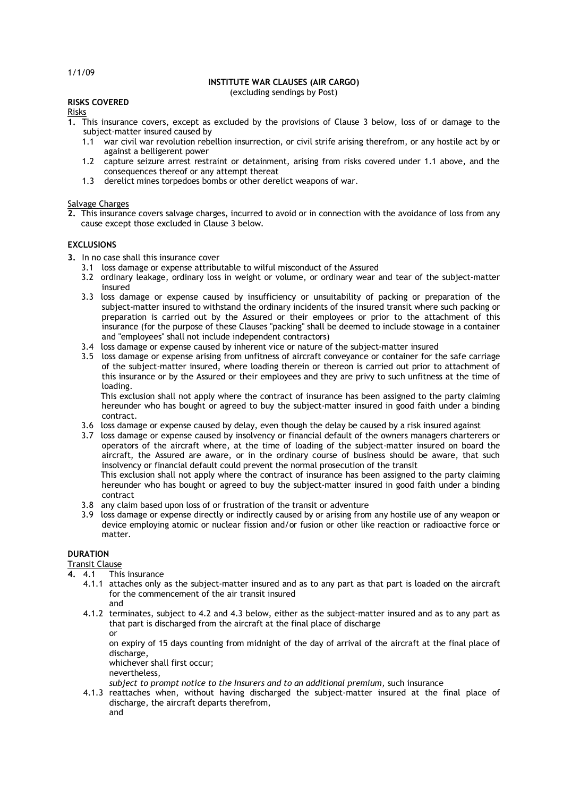#### **INSTITUTE WAR CLAUSES (AIR CARGO)** (excluding sendings by Post)

## **RISKS COVERED**

Risks

- **1.** This insurance covers, except as excluded by the provisions of Clause 3 below, loss of or damage to the subject-matter insured caused by
	- 1.1 war civil war revolution rebellion insurrection, or civil strife arising therefrom, or any hostile act by or against a belligerent power
	- 1.2 capture seizure arrest restraint or detainment, arising from risks covered under 1.1 above, and the consequences thereof or any attempt thereat
	- 1.3 derelict mines torpedoes bombs or other derelict weapons of war.

# Salvage Charges

**2.** This insurance covers salvage charges, incurred to avoid or in connection with the avoidance of loss from any cause except those excluded in Clause 3 below.

# **EXCLUSIONS**

- **3.** In no case shall this insurance cover
	- 3.1 loss damage or expense attributable to wilful misconduct of the Assured
	- 3.2 ordinary leakage, ordinary loss in weight or volume, or ordinary wear and tear of the subject-matter insured
	- 3.3 loss damage or expense caused by insufficiency or unsuitability of packing or preparation of the subject-matter insured to withstand the ordinary incidents of the insured transit where such packing or preparation is carried out by the Assured or their employees or prior to the attachment of this insurance (for the purpose of these Clauses "packing" shall be deemed to include stowage in a container and "employees" shall not include independent contractors)
	- 3.4 loss damage or expense caused by inherent vice or nature of the subject-matter insured
	- 3.5 loss damage or expense arising from unfitness of aircraft conveyance or container for the safe carriage of the subject-matter insured, where loading therein or thereon is carried out prior to attachment of this insurance or by the Assured or their employees and they are privy to such unfitness at the time of loading.

This exclusion shall not apply where the contract of insurance has been assigned to the party claiming hereunder who has bought or agreed to buy the subject-matter insured in good faith under a binding contract.

- 3.6 loss damage or expense caused by delay, even though the delay be caused by a risk insured against
- 3.7 loss damage or expense caused by insolvency or financial default of the owners managers charterers or operators of the aircraft where, at the time of loading of the subject-matter insured on board the aircraft, the Assured are aware, or in the ordinary course of business should be aware, that such insolvency or financial default could prevent the normal prosecution of the transit

This exclusion shall not apply where the contract of insurance has been assigned to the party claiming hereunder who has bought or agreed to buy the subject-matter insured in good faith under a binding contract

- 3.8 any claim based upon loss of or frustration of the transit or adventure
- 3.9 loss damage or expense directly or indirectly caused by or arising from any hostile use of any weapon or device employing atomic or nuclear fission and/or fusion or other like reaction or radioactive force or matter.

# **DURATION**

Transit Clause<br>4. 4.1 This

- **4.** 4.1 This insurance
	- 4.1.1 attaches only as the subject-matter insured and as to any part as that part is loaded on the aircraft for the commencement of the air transit insured
- and 4.1.2 terminates, subject to 4.2 and 4.3 below, either as the subject-matter insured and as to any part as
	- that part is discharged from the aircraft at the final place of discharge or

on expiry of 15 days counting from midnight of the day of arrival of the aircraft at the final place of discharge,

- whichever shall first occur;
- nevertheless,

*subject to prompt notice to the Insurers and to an additional premium,* such insurance

4.1.3 reattaches when, without having discharged the subject-matter insured at the final place of discharge, the aircraft departs therefrom, and

1/1/09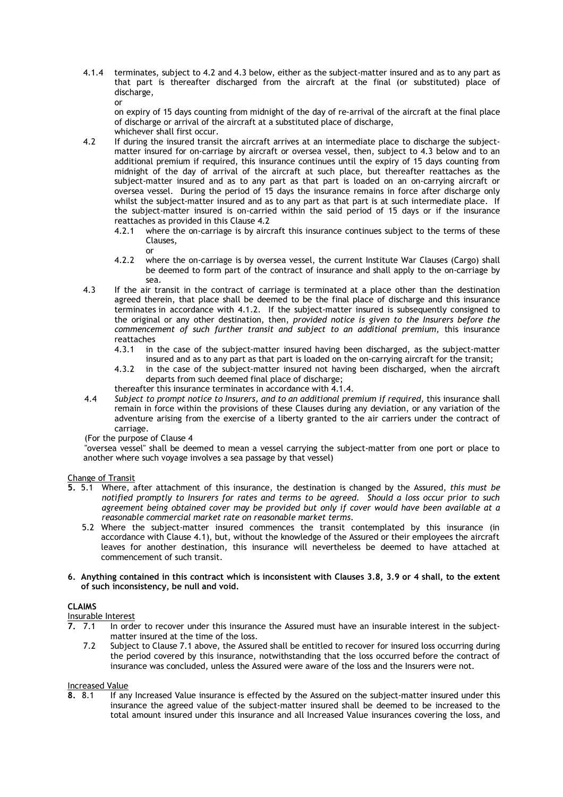4.1.4 terminates, subject to 4.2 and 4.3 below, either as the subject-matter insured and as to any part as that part is thereafter discharged from the aircraft at the final (or substituted) place of discharge, or

on expiry of 15 days counting from midnight of the day of re-arrival of the aircraft at the final place of discharge or arrival of the aircraft at a substituted place of discharge, whichever shall first occur.

- 4.2 If during the insured transit the aircraft arrives at an intermediate place to discharge the subjectmatter insured for on-carriage by aircraft or oversea vessel, then, subject to 4.3 below and to an additional premium if required, this insurance continues until the expiry of 15 days counting from midnight of the day of arrival of the aircraft at such place, but thereafter reattaches as the subject-matter insured and as to any part as that part is loaded on an on-carrying aircraft or oversea vessel. During the period of 15 days the insurance remains in force after discharge only whilst the subject-matter insured and as to any part as that part is at such intermediate place. If the subject-matter insured is on-carried within the said period of 15 days or if the insurance reattaches as provided in this Clause 4.2
	- 4.2.1 where the on-carriage is by aircraft this insurance continues subject to the terms of these Clauses, or
	- 4.2.2 where the on-carriage is by oversea vessel, the current Institute War Clauses (Cargo) shall be deemed to form part of the contract of insurance and shall apply to the on-carriage by sea.
- 4.3 If the air transit in the contract of carriage is terminated at a place other than the destination agreed therein, that place shall be deemed to be the final place of discharge and this insurance terminates in accordance with 4.1.2. If the subject-matter insured is subsequently consigned to the original or any other destination, then, *provided notice is given to the Insurers before the commencement of such further transit and subject to an additional premium,* this insurance reattaches<br>4 3 1 in
	- 4.3.1 in the case of the subject-matter insured having been discharged, as the subject-matter insured and as to any part as that part is loaded on the on-carrying aircraft for the transit;
	- 4.3.2 in the case of the subject-matter insured not having been discharged, when the aircraft departs from such deemed final place of discharge;
	- thereafter this insurance terminates in accordance with 4.1.4.
- 4.4 *Subject to prompt notice to Insurers, and to an additional premium if required,* this insurance shall remain in force within the provisions of these Clauses during any deviation, or any variation of the adventure arising from the exercise of a liberty granted to the air carriers under the contract of carriage.
- (For the purpose of Clause 4

"oversea vessel" shall be deemed to mean a vessel carrying the subject-matter from one port or place to another where such voyage involves a sea passage by that vessel)

Change of Transit

- **5.** 5.1 Where, after attachment of this insurance, the destination is changed by the Assured, *this must be notified promptly to Insurers for rates and terms to be agreed. Should a loss occur prior to such agreement being obtained cover may be provided but only if cover would have been available at a reasonable commercial market rate on reasonable market terms*.
	- 5.2 Where the subject-matter insured commences the transit contemplated by this insurance (in accordance with Clause 4.1), but, without the knowledge of the Assured or their employees the aircraft leaves for another destination, this insurance will nevertheless be deemed to have attached at commencement of such transit.
- **6. Anything contained in this contract which is inconsistent with Clauses 3.8, 3.9 or 4 shall, to the extent of such inconsistency, be null and void.**

# **CLAIMS**

Insurable Interest<br>7. 7.1 In orde

- **7.** 7.1 In order to recover under this insurance the Assured must have an insurable interest in the subjectmatter insured at the time of the loss.
	- 7.2 Subject to Clause 7.1 above, the Assured shall be entitled to recover for insured loss occurring during the period covered by this insurance, notwithstanding that the loss occurred before the contract of insurance was concluded, unless the Assured were aware of the loss and the Insurers were not.

# Increased Value<br>8. 8.1 If any

**8.** 8.1 If any Increased Value insurance is effected by the Assured on the subject-matter insured under this insurance the agreed value of the subject-matter insured shall be deemed to be increased to the total amount insured under this insurance and all Increased Value insurances covering the loss, and